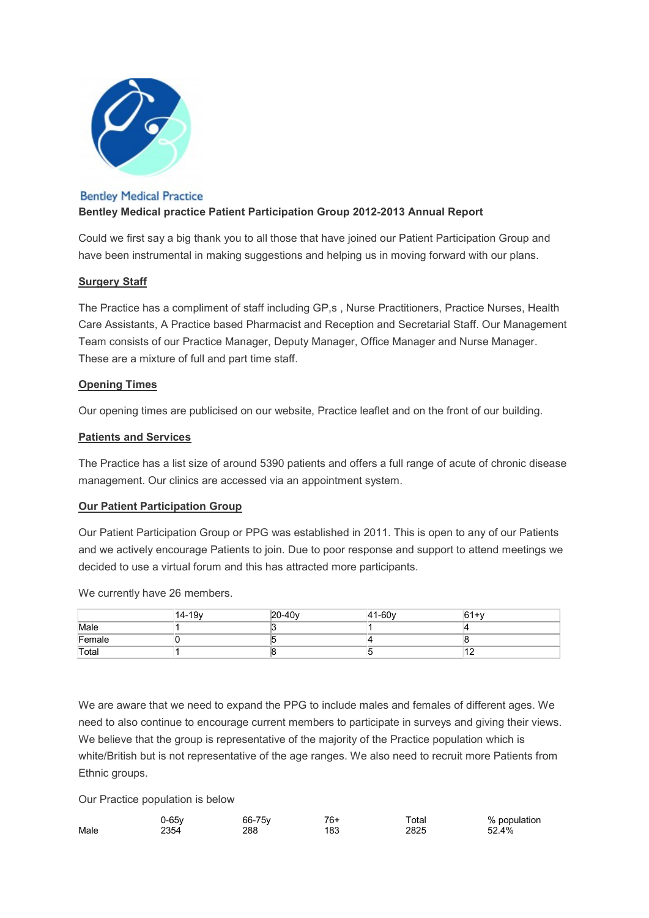

#### **Bentley Medical Practice**

# Bentley Medical practice Patient Participation Group 2012-2013 Annual Report

Could we first say a big thank you to all those that have joined our Patient Participation Group and have been instrumental in making suggestions and helping us in moving forward with our plans.

# Surgery Staff

The Practice has a compliment of staff including GP,s , Nurse Practitioners, Practice Nurses, Health Care Assistants, A Practice based Pharmacist and Reception and Secretarial Staff. Our Management Team consists of our Practice Manager, Deputy Manager, Office Manager and Nurse Manager. These are a mixture of full and part time staff.

# Opening Times

Our opening times are publicised on our website, Practice leaflet and on the front of our building.

# Patients and Services

The Practice has a list size of around 5390 patients and offers a full range of acute of chronic disease management. Our clinics are accessed via an appointment system.

#### **Our Patient Participation Group**

Our Patient Participation Group or PPG was established in 2011. This is open to any of our Patients and we actively encourage Patients to join. Due to poor response and support to attend meetings we decided to use a virtual forum and this has attracted more participants.

We currently have 26 members.

|        | 14-19 <sub>v</sub> | $20-40v$ | $41 - 60v$ | $61+v$ |
|--------|--------------------|----------|------------|--------|
| Male   |                    |          |            |        |
| Female |                    |          |            |        |
| Total  |                    |          |            | 14     |

We are aware that we need to expand the PPG to include males and females of different ages. We need to also continue to encourage current members to participate in surveys and giving their views. We believe that the group is representative of the majority of the Practice population which is white/British but is not representative of the age ranges. We also need to recruit more Patients from Ethnic groups.

Our Practice population is below

|      | J-65v | 66-75y | 76+ | $\tau$ otal | % population |
|------|-------|--------|-----|-------------|--------------|
| Male | 2354  | 288    | 183 | 2825        | 52.4%        |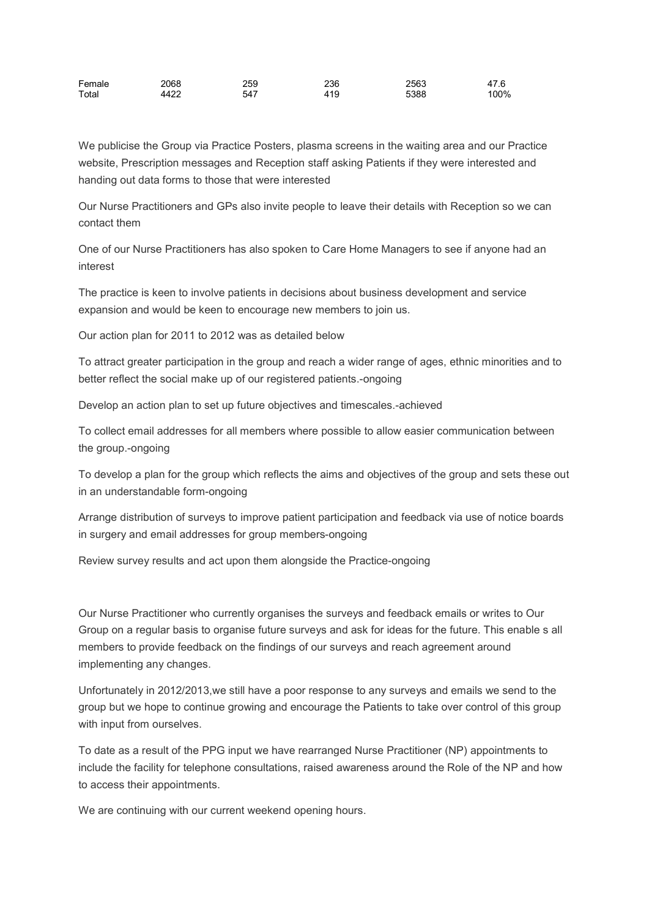| Female | 2068 | 259 | 236 | 2563 | 47.6 |
|--------|------|-----|-----|------|------|
| Total  | 4422 | 547 | 419 | 5388 | 100% |

We publicise the Group via Practice Posters, plasma screens in the waiting area and our Practice website, Prescription messages and Reception staff asking Patients if they were interested and handing out data forms to those that were interested

Our Nurse Practitioners and GPs also invite people to leave their details with Reception so we can contact them

One of our Nurse Practitioners has also spoken to Care Home Managers to see if anyone had an interest

The practice is keen to involve patients in decisions about business development and service expansion and would be keen to encourage new members to join us.

Our action plan for 2011 to 2012 was as detailed below

To attract greater participation in the group and reach a wider range of ages, ethnic minorities and to better reflect the social make up of our registered patients.-ongoing

Develop an action plan to set up future objectives and timescales.-achieved

To collect email addresses for all members where possible to allow easier communication between the group.-ongoing

To develop a plan for the group which reflects the aims and objectives of the group and sets these out in an understandable form-ongoing

Arrange distribution of surveys to improve patient participation and feedback via use of notice boards in surgery and email addresses for group members-ongoing

Review survey results and act upon them alongside the Practice-ongoing

Our Nurse Practitioner who currently organises the surveys and feedback emails or writes to Our Group on a regular basis to organise future surveys and ask for ideas for the future. This enable s all members to provide feedback on the findings of our surveys and reach agreement around implementing any changes.

Unfortunately in 2012/2013,we still have a poor response to any surveys and emails we send to the group but we hope to continue growing and encourage the Patients to take over control of this group with input from ourselves.

To date as a result of the PPG input we have rearranged Nurse Practitioner (NP) appointments to include the facility for telephone consultations, raised awareness around the Role of the NP and how to access their appointments.

We are continuing with our current weekend opening hours.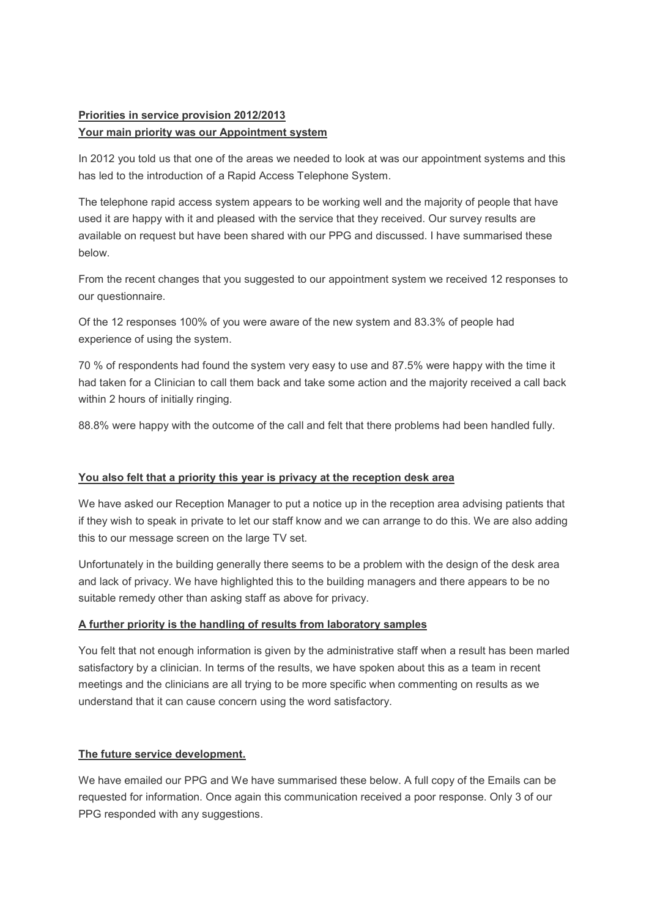# Priorities in service provision 2012/2013

#### Your main priority was our Appointment system

In 2012 you told us that one of the areas we needed to look at was our appointment systems and this has led to the introduction of a Rapid Access Telephone System.

The telephone rapid access system appears to be working well and the majority of people that have used it are happy with it and pleased with the service that they received. Our survey results are available on request but have been shared with our PPG and discussed. I have summarised these below.

From the recent changes that you suggested to our appointment system we received 12 responses to our questionnaire.

Of the 12 responses 100% of you were aware of the new system and 83.3% of people had experience of using the system.

70 % of respondents had found the system very easy to use and 87.5% were happy with the time it had taken for a Clinician to call them back and take some action and the majority received a call back within 2 hours of initially ringing.

88.8% were happy with the outcome of the call and felt that there problems had been handled fully.

#### You also felt that a priority this year is privacy at the reception desk area

We have asked our Reception Manager to put a notice up in the reception area advising patients that if they wish to speak in private to let our staff know and we can arrange to do this. We are also adding this to our message screen on the large TV set.

Unfortunately in the building generally there seems to be a problem with the design of the desk area and lack of privacy. We have highlighted this to the building managers and there appears to be no suitable remedy other than asking staff as above for privacy.

#### A further priority is the handling of results from laboratory samples

You felt that not enough information is given by the administrative staff when a result has been marled satisfactory by a clinician. In terms of the results, we have spoken about this as a team in recent meetings and the clinicians are all trying to be more specific when commenting on results as we understand that it can cause concern using the word satisfactory.

# The future service development.

We have emailed our PPG and We have summarised these below. A full copy of the Emails can be requested for information. Once again this communication received a poor response. Only 3 of our PPG responded with any suggestions.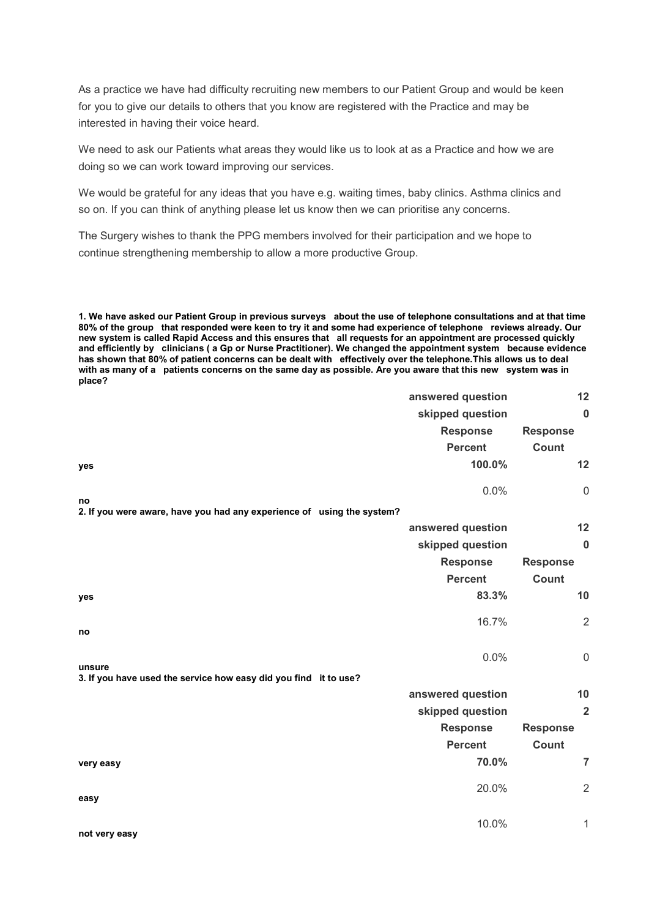As a practice we have had difficulty recruiting new members to our Patient Group and would be keen for you to give our details to others that you know are registered with the Practice and may be interested in having their voice heard.

We need to ask our Patients what areas they would like us to look at as a Practice and how we are doing so we can work toward improving our services.

We would be grateful for any ideas that you have e.g. waiting times, baby clinics. Asthma clinics and so on. If you can think of anything please let us know then we can prioritise any concerns.

The Surgery wishes to thank the PPG members involved for their participation and we hope to continue strengthening membership to allow a more productive Group.

1. We have asked our Patient Group in previous surveys about the use of telephone consultations and at that time 80% of the group that responded were keen to try it and some had experience of telephone reviews already. Our new system is called Rapid Access and this ensures that all requests for an appointment are processed quickly and efficiently by clinicians ( a Gp or Nurse Practitioner). We changed the appointment system because evidence has shown that 80% of patient concerns can be dealt with effectively over the telephone.This allows us to deal with as many of a patients concerns on the same day as possible. Are you aware that this new system was in place?

|                                                                              | answered question | 12               |
|------------------------------------------------------------------------------|-------------------|------------------|
|                                                                              | skipped question  | $\boldsymbol{0}$ |
|                                                                              | <b>Response</b>   | <b>Response</b>  |
|                                                                              | <b>Percent</b>    | Count            |
| yes                                                                          | 100.0%            | 12               |
|                                                                              | 0.0%              | $\mathbf 0$      |
| no<br>2. If you were aware, have you had any experience of using the system? |                   |                  |
|                                                                              | answered question | 12               |
|                                                                              | skipped question  | $\bf{0}$         |
|                                                                              | <b>Response</b>   | <b>Response</b>  |
|                                                                              | <b>Percent</b>    | Count            |
| yes                                                                          | 83.3%             | 10               |
| no                                                                           | 16.7%             | $\overline{2}$   |
|                                                                              | 0.0%              | $\mathbf 0$      |
| unsure<br>3. If you have used the service how easy did you find it to use?   |                   |                  |
|                                                                              | answered question | 10               |
|                                                                              | skipped question  | $\overline{2}$   |
|                                                                              | <b>Response</b>   | <b>Response</b>  |
|                                                                              | <b>Percent</b>    | Count            |
| very easy                                                                    | 70.0%             | $\overline{7}$   |
| easy                                                                         | 20.0%             | $\overline{2}$   |
|                                                                              |                   |                  |
| not very easy                                                                | 10.0%             | 1                |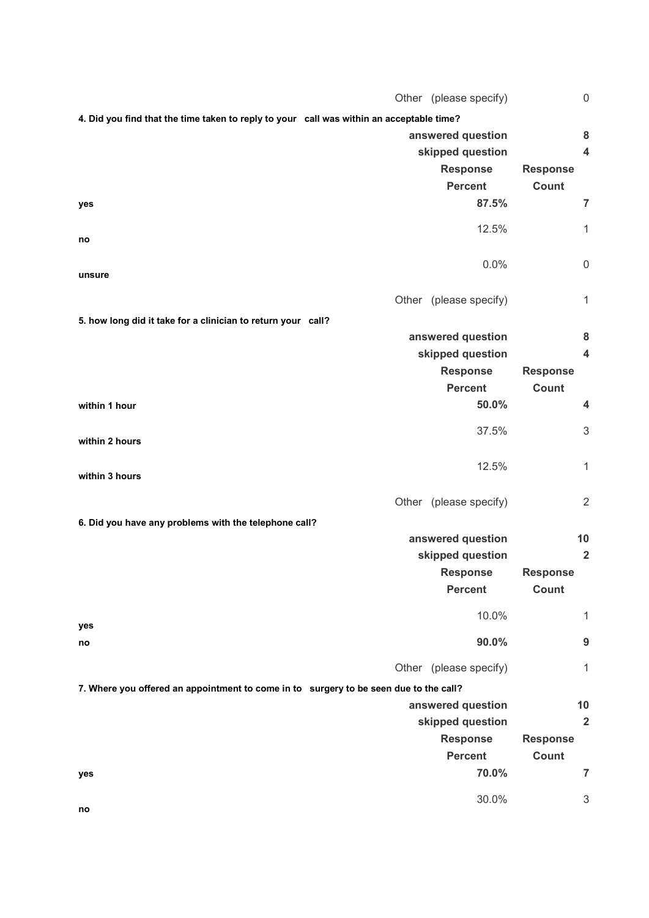|                                                                                          | Other (please specify) | $\mathbf 0$             |
|------------------------------------------------------------------------------------------|------------------------|-------------------------|
| 4. Did you find that the time taken to reply to your call was within an acceptable time? |                        |                         |
|                                                                                          | answered question      | 8                       |
|                                                                                          | skipped question       | $\overline{\mathbf{4}}$ |
|                                                                                          | <b>Response</b>        | <b>Response</b>         |
|                                                                                          | <b>Percent</b>         | <b>Count</b>            |
| yes                                                                                      | 87.5%                  | $\overline{7}$          |
|                                                                                          | 12.5%                  | $\mathbf{1}$            |
| no                                                                                       |                        |                         |
|                                                                                          | 0.0%                   | $\mathbf 0$             |
| unsure                                                                                   |                        |                         |
|                                                                                          | Other (please specify) | $\mathbf{1}$            |
| 5. how long did it take for a clinician to return your call?                             |                        |                         |
|                                                                                          | answered question      | 8                       |
|                                                                                          | skipped question       | $\overline{\mathbf{4}}$ |
|                                                                                          | <b>Response</b>        | <b>Response</b>         |
|                                                                                          | <b>Percent</b>         | Count                   |
| within 1 hour                                                                            | 50.0%                  | $\overline{\mathbf{4}}$ |
|                                                                                          |                        |                         |
| within 2 hours                                                                           | 37.5%                  | 3                       |
|                                                                                          | 12.5%                  | $\mathbf{1}$            |
| within 3 hours                                                                           |                        |                         |
|                                                                                          | Other (please specify) | $\overline{2}$          |
|                                                                                          |                        |                         |
| 6. Did you have any problems with the telephone call?                                    | answered question      | 10                      |
|                                                                                          | skipped question       | $\overline{2}$          |
|                                                                                          | <b>Response</b>        | <b>Response</b>         |
|                                                                                          | <b>Percent</b>         | Count                   |
|                                                                                          |                        |                         |
| yes                                                                                      | 10.0%                  | 1                       |
| no                                                                                       | 90.0%                  | 9                       |
|                                                                                          |                        |                         |
|                                                                                          | Other (please specify) | 1                       |
| 7. Where you offered an appointment to come in to surgery to be seen due to the call?    |                        |                         |
|                                                                                          | answered question      | 10                      |
|                                                                                          | skipped question       | $\overline{2}$          |
|                                                                                          | <b>Response</b>        | <b>Response</b>         |
|                                                                                          | <b>Percent</b>         | Count                   |
| yes                                                                                      | 70.0%                  | 7                       |
|                                                                                          | 30.0%                  | 3                       |
| no                                                                                       |                        |                         |